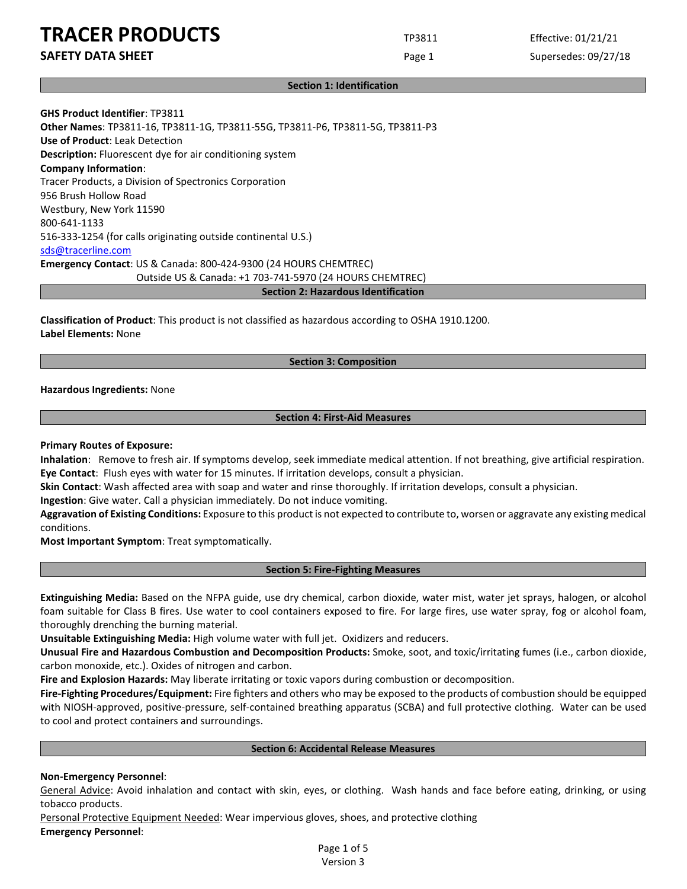**SAFETY DATA SHEET** SUPERFOUR CONSUMING THE Page 1 Supersedes: 09/27/18

#### **Section 1: Identification**

**GHS Product Identifier**: TP3811 **Other Names**: TP3811-16, TP3811-1G, TP3811-55G, TP3811-P6, TP3811-5G, TP3811-P3 **Use of Product**: Leak Detection **Description:** Fluorescent dye for air conditioning system **Company Information**: Tracer Products, a Division of Spectronics Corporation 956 Brush Hollow Road Westbury, New York 11590 800-641-1133 516-333-1254 (for calls originating outside continental U.S.) [sds@tracerline.com](mailto:sds@tracerline.com) **Emergency Contact**: US & Canada: 800-424-9300 (24 HOURS CHEMTREC) Outside US & Canada: +1 703-741-5970 (24 HOURS CHEMTREC) **Section 2: Hazardous Identification**

**Classification of Product**: This product is not classified as hazardous according to OSHA 1910.1200. **Label Elements:** None

#### **Section 3: Composition**

**Hazardous Ingredients:** None

### **Section 4: First-Aid Measures**

#### **Primary Routes of Exposure:**

**Inhalation**: Remove to fresh air. If symptoms develop, seek immediate medical attention. If not breathing, give artificial respiration. **Eye Contact**: Flush eyes with water for 15 minutes. If irritation develops, consult a physician.

**Skin Contact**: Wash affected area with soap and water and rinse thoroughly. If irritation develops, consult a physician.

**Ingestion**: Give water. Call a physician immediately. Do not induce vomiting.

**Aggravation of Existing Conditions:** Exposure to this product is not expected to contribute to, worsen or aggravate any existing medical conditions.

**Most Important Symptom**: Treat symptomatically.

#### **Section 5: Fire-Fighting Measures**

**Extinguishing Media:** Based on the NFPA guide, use dry chemical, carbon dioxide, water mist, water jet sprays, halogen, or alcohol foam suitable for Class B fires. Use water to cool containers exposed to fire. For large fires, use water spray, fog or alcohol foam, thoroughly drenching the burning material.

**Unsuitable Extinguishing Media:** High volume water with full jet. Oxidizers and reducers.

**Unusual Fire and Hazardous Combustion and Decomposition Products:** Smoke, soot, and toxic/irritating fumes (i.e., carbon dioxide, carbon monoxide, etc.). Oxides of nitrogen and carbon.

**Fire and Explosion Hazards:** May liberate irritating or toxic vapors during combustion or decomposition.

**Fire-Fighting Procedures/Equipment:** Fire fighters and others who may be exposed to the products of combustion should be equipped with NIOSH-approved, positive-pressure, self-contained breathing apparatus (SCBA) and full protective clothing. Water can be used to cool and protect containers and surroundings.

#### **Section 6: Accidental Release Measures**

#### **Non-Emergency Personnel**:

General Advice: Avoid inhalation and contact with skin, eyes, or clothing. Wash hands and face before eating, drinking, or using tobacco products.

Personal Protective Equipment Needed: Wear impervious gloves, shoes, and protective clothing **Emergency Personnel**:

> Page 1 of 5 Version 3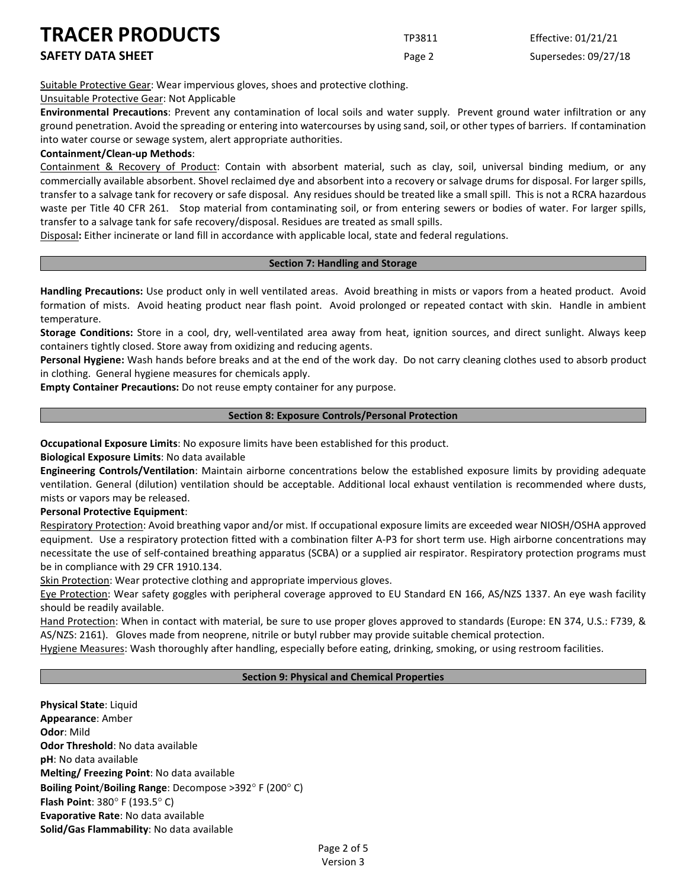Suitable Protective Gear: Wear impervious gloves, shoes and protective clothing.

Unsuitable Protective Gear: Not Applicable

**Environmental Precautions**: Prevent any contamination of local soils and water supply. Prevent ground water infiltration or any ground penetration. Avoid the spreading or entering into watercourses by using sand, soil, or other types of barriers. If contamination into water course or sewage system, alert appropriate authorities.

# **Containment/Clean-up Methods**:

Containment & Recovery of Product: Contain with absorbent material, such as clay, soil, universal binding medium, or any commercially available absorbent. Shovel reclaimed dye and absorbent into a recovery or salvage drums for disposal. For larger spills, transfer to a salvage tank for recovery or safe disposal. Any residues should be treated like a small spill. This is not a RCRA hazardous waste per Title 40 CFR 261. Stop material from contaminating soil, or from entering sewers or bodies of water. For larger spills, transfer to a salvage tank for safe recovery/disposal. Residues are treated as small spills.

Disposal**:** Either incinerate or land fill in accordance with applicable local, state and federal regulations.

## **Section 7: Handling and Storage**

**Handling Precautions:** Use product only in well ventilated areas. Avoid breathing in mists or vapors from a heated product. Avoid formation of mists. Avoid heating product near flash point. Avoid prolonged or repeated contact with skin. Handle in ambient temperature.

**Storage Conditions:** Store in a cool, dry, well-ventilated area away from heat, ignition sources, and direct sunlight. Always keep containers tightly closed. Store away from oxidizing and reducing agents.

**Personal Hygiene:** Wash hands before breaks and at the end of the work day. Do not carry cleaning clothes used to absorb product in clothing. General hygiene measures for chemicals apply.

**Empty Container Precautions:** Do not reuse empty container for any purpose.

# **Section 8: Exposure Controls/Personal Protection**

**Occupational Exposure Limits**: No exposure limits have been established for this product.

**Biological Exposure Limits**: No data available

**Engineering Controls/Ventilation**: Maintain airborne concentrations below the established exposure limits by providing adequate ventilation. General (dilution) ventilation should be acceptable. Additional local exhaust ventilation is recommended where dusts, mists or vapors may be released.

**Personal Protective Equipment**:

Respiratory Protection: Avoid breathing vapor and/or mist. If occupational exposure limits are exceeded wear NIOSH/OSHA approved equipment. Use a respiratory protection fitted with a combination filter A-P3 for short term use. High airborne concentrations may necessitate the use of self-contained breathing apparatus (SCBA) or a supplied air respirator. Respiratory protection programs must be in compliance with 29 CFR 1910.134.

Skin Protection: Wear protective clothing and appropriate impervious gloves.

Eye Protection: Wear safety goggles with peripheral coverage approved to EU Standard EN 166, AS/NZS 1337. An eye wash facility should be readily available.

Hand Protection: When in contact with material, be sure to use proper gloves approved to standards (Europe: EN 374, U.S.: F739, & AS/NZS: 2161). Gloves made from neoprene, nitrile or butyl rubber may provide suitable chemical protection.

Hygiene Measures: Wash thoroughly after handling, especially before eating, drinking, smoking, or using restroom facilities.

## **Section 9: Physical and Chemical Properties**

**Physical State**: Liquid **Appearance**: Amber **Odor**: Mild **Odor Threshold**: No data available **pH**: No data available **Melting/ Freezing Point**: No data available **Boiling Point**/**Boiling Range**: Decompose >392° F (200° C) **Flash Point**: 380° F (193.5° C) **Evaporative Rate**: No data available **Solid/Gas Flammability**: No data available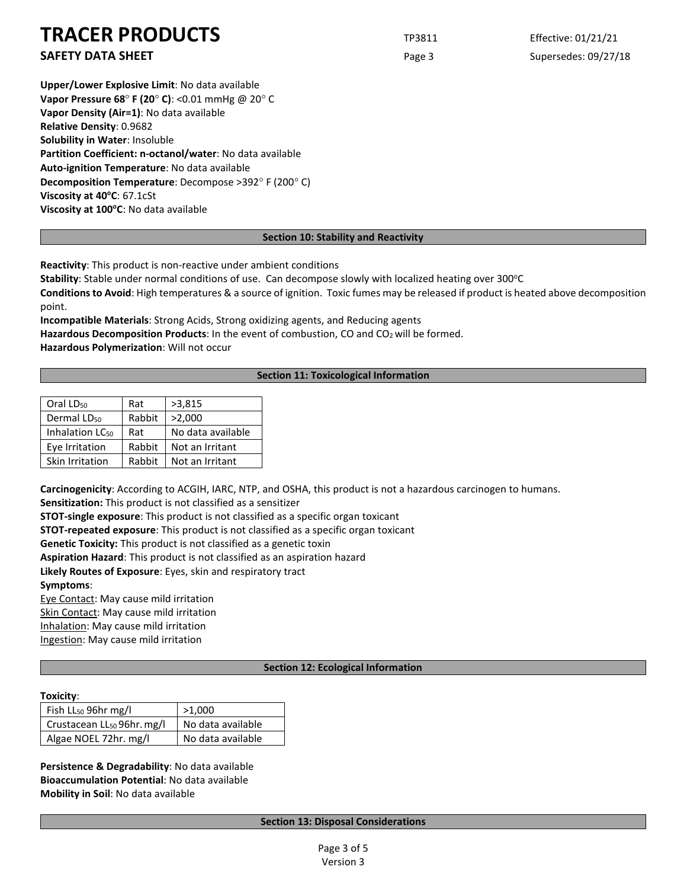**Upper/Lower Explosive Limit**: No data available **Vapor Pressure 68**° **F (20**° **C)**: <0.01 mmHg @ 20° C **Vapor Density (Air=1)**: No data available **Relative Density**: 0.9682 **Solubility in Water**: Insoluble **Partition Coefficient: n-octanol/water**: No data available **Auto-ignition Temperature**: No data available **Decomposition Temperature**: Decompose >392° F (200° C) **Viscosity at 40°C: 67.1cSt** Viscosity at 100°C: No data available

## **Section 10: Stability and Reactivity**

**Reactivity**: This product is non-reactive under ambient conditions

**Stability**: Stable under normal conditions of use. Can decompose slowly with localized heating over 300°C

**Conditions to Avoid**: High temperatures & a source of ignition. Toxic fumes may be released if product is heated above decomposition point.

**Incompatible Materials**: Strong Acids, Strong oxidizing agents, and Reducing agents Hazardous Decomposition Products: In the event of combustion, CO and CO<sub>2</sub> will be formed. **Hazardous Polymerization**: Will not occur

## **Section 11: Toxicological Information**

| Oral LD <sub>50</sub>       | Rat    | >3,815            |  |
|-----------------------------|--------|-------------------|--|
| Dermal LD <sub>50</sub>     | Rabbit | >2,000            |  |
| Inhalation LC <sub>50</sub> | Rat    | No data available |  |
| Eye Irritation              | Rabbit | Not an Irritant   |  |
| Skin Irritation             | Rabbit | Not an Irritant   |  |

**Carcinogenicity**: According to ACGIH, IARC, NTP, and OSHA, this product is not a hazardous carcinogen to humans.

**Sensitization:** This product is not classified as a sensitizer

**STOT-single exposure**: This product is not classified as a specific organ toxicant

**STOT-repeated exposure**: This product is not classified as a specific organ toxicant

**Genetic Toxicity:** This product is not classified as a genetic toxin

**Aspiration Hazard**: This product is not classified as an aspiration hazard

**Likely Routes of Exposure**: Eyes, skin and respiratory tract

**Symptoms**:

Eye Contact: May cause mild irritation

Skin Contact: May cause mild irritation

Inhalation: May cause mild irritation

Ingestion: May cause mild irritation

# **Section 12: Ecological Information**

#### **Toxicity**:

| Fish LL <sub>50</sub> 96hr mg/l        | >1,000            |  |
|----------------------------------------|-------------------|--|
| Crustacean LL <sub>50</sub> 96hr. mg/l | No data available |  |
| Algae NOEL 72hr. mg/l                  | No data available |  |

**Persistence & Degradability**: No data available **Bioaccumulation Potential**: No data available **Mobility in Soil**: No data available

## **Section 13: Disposal Considerations**

**SAFETY DATA SHEET** SUPERFOUR CONSUMING THE Page 3 Supersedes: 09/27/18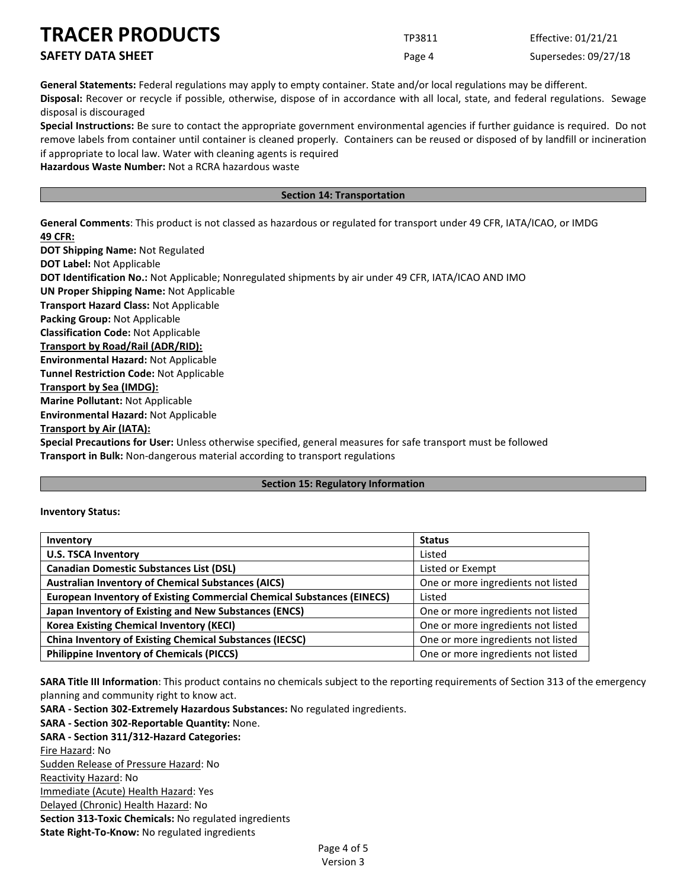| <b>IRACER PRODUCTS</b>   | TP3811 | Effective: 01/21/21  |
|--------------------------|--------|----------------------|
| <b>SAFETY DATA SHEET</b> | Page 4 | Supersedes: 09/27/18 |

**General Statements:** Federal regulations may apply to empty container. State and/or local regulations may be different.

**Disposal:** Recover or recycle if possible, otherwise, dispose of in accordance with all local, state, and federal regulations. Sewage disposal is discouraged

**Special Instructions:** Be sure to contact the appropriate government environmental agencies if further guidance is required. Do not remove labels from container until container is cleaned properly. Containers can be reused or disposed of by landfill or incineration if appropriate to local law. Water with cleaning agents is required

**Hazardous Waste Number:** Not a RCRA hazardous waste

# **Section 14: Transportation**

**General Comments**: This product is not classed as hazardous or regulated for transport under 49 CFR, IATA/ICAO, or IMDG **49 CFR:**

**DOT Shipping Name:** Not Regulated **DOT Label:** Not Applicable **DOT Identification No.:** Not Applicable; Nonregulated shipments by air under 49 CFR, IATA/ICAO AND IMO **UN Proper Shipping Name:** Not Applicable **Transport Hazard Class:** Not Applicable **Packing Group:** Not Applicable **Classification Code:** Not Applicable **Transport by Road/Rail (ADR/RID): Environmental Hazard:** Not Applicable **Tunnel Restriction Code:** Not Applicable **Transport by Sea (IMDG): Marine Pollutant:** Not Applicable **Environmental Hazard:** Not Applicable **Transport by Air (IATA): Special Precautions for User:** Unless otherwise specified, general measures for safe transport must be followed

**Transport in Bulk:** Non-dangerous material according to transport regulations

## **Section 15: Regulatory Information**

## **Inventory Status:**

| Inventory                                                                     | <b>Status</b>                      |  |
|-------------------------------------------------------------------------------|------------------------------------|--|
| <b>U.S. TSCA Inventory</b>                                                    | Listed                             |  |
| <b>Canadian Domestic Substances List (DSL)</b>                                | Listed or Exempt                   |  |
| <b>Australian Inventory of Chemical Substances (AICS)</b>                     | One or more ingredients not listed |  |
| <b>European Inventory of Existing Commercial Chemical Substances (EINECS)</b> | Listed                             |  |
| Japan Inventory of Existing and New Substances (ENCS)                         | One or more ingredients not listed |  |
| <b>Korea Existing Chemical Inventory (KECI)</b>                               | One or more ingredients not listed |  |
| <b>China Inventory of Existing Chemical Substances (IECSC)</b>                | One or more ingredients not listed |  |
| <b>Philippine Inventory of Chemicals (PICCS)</b>                              | One or more ingredients not listed |  |

**SARA Title III Information**: This product contains no chemicals subject to the reporting requirements of Section 313 of the emergency planning and community right to know act.

**SARA - Section 302-Extremely Hazardous Substances:** No regulated ingredients. **SARA - Section 302-Reportable Quantity:** None. **SARA - Section 311/312-Hazard Categories:** Fire Hazard: No Sudden Release of Pressure Hazard: No Reactivity Hazard: No Immediate (Acute) Health Hazard: Yes Delayed (Chronic) Health Hazard: No **Section 313-Toxic Chemicals:** No regulated ingredients **State Right-To-Know:** No regulated ingredients